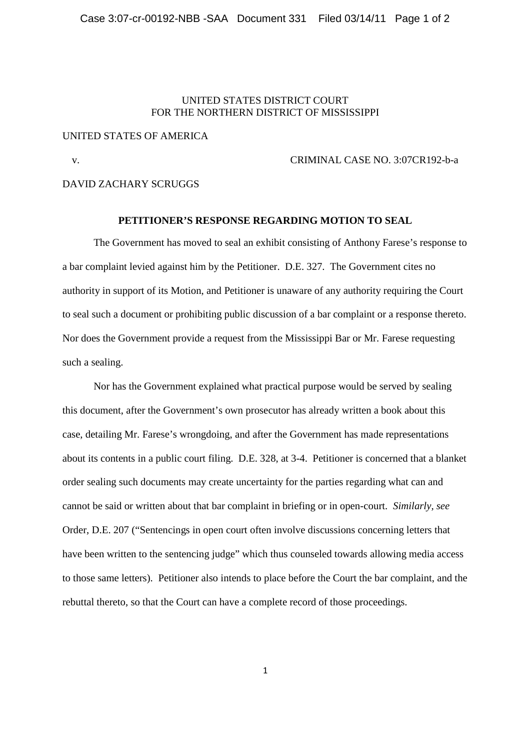### UNITED STATES DISTRICT COURT FOR THE NORTHERN DISTRICT OF MISSISSIPPI

# UNITED STATES OF AMERICA

#### v. CRIMINAL CASE NO. 3:07CR192-b-a

DAVID ZACHARY SCRUGGS

# **PETITIONER'S RESPONSE REGARDING MOTION TO SEAL**

The Government has moved to seal an exhibit consisting of Anthony Farese's response to a bar complaint levied against him by the Petitioner. D.E. 327. The Government cites no authority in support of its Motion, and Petitioner is unaware of any authority requiring the Court to seal such a document or prohibiting public discussion of a bar complaint or a response thereto. Nor does the Government provide a request from the Mississippi Bar or Mr. Farese requesting such a sealing.

Nor has the Government explained what practical purpose would be served by sealing this document, after the Government's own prosecutor has already written a book about this case, detailing Mr. Farese's wrongdoing, and after the Government has made representations about its contents in a public court filing. D.E. 328, at 3-4. Petitioner is concerned that a blanket order sealing such documents may create uncertainty for the parties regarding what can and cannot be said or written about that bar complaint in briefing or in open-court. *Similarly, see* Order, D.E. 207 ("Sentencings in open court often involve discussions concerning letters that have been written to the sentencing judge" which thus counseled towards allowing media access to those same letters). Petitioner also intends to place before the Court the bar complaint, and the rebuttal thereto, so that the Court can have a complete record of those proceedings.

1